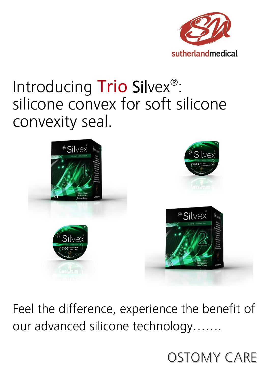

## Introducing Trio Silvex®: silicone convex for soft silicone convexity seal.



Feel the difference, experience the benefit of our advanced silicone technology…….

**OSTOMY CARE**